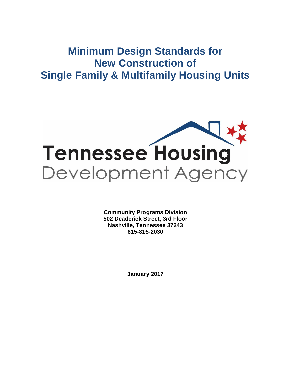# **Minimum Design Standards for New Construction of Single Family & Multifamily Housing Units**



**Community Programs Division 502 Deaderick Street, 3rd Floor Nashville, Tennessee 37243 615-815-2030**

**January 2017**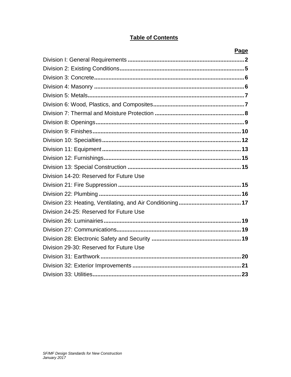### **Table of Contents**

|                                         | Page |
|-----------------------------------------|------|
|                                         |      |
|                                         |      |
|                                         |      |
|                                         |      |
|                                         |      |
|                                         |      |
|                                         |      |
|                                         |      |
|                                         |      |
|                                         |      |
|                                         |      |
|                                         |      |
|                                         |      |
| Division 14-20: Reserved for Future Use |      |
|                                         |      |
|                                         |      |
|                                         |      |
| Division 24-25: Reserved for Future Use |      |
|                                         |      |
|                                         |      |
|                                         |      |
| Division 29-30: Reserved for Future Use |      |
|                                         |      |
|                                         |      |
|                                         |      |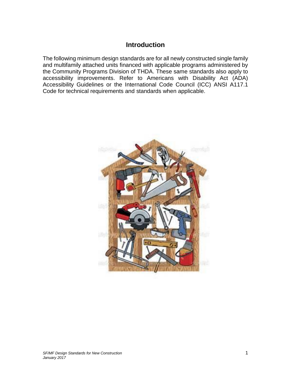### **Introduction**

The following minimum design standards are for all newly constructed single family and multifamily attached units financed with applicable programs administered by the Community Programs Division of THDA. These same standards also apply to accessibility improvements. Refer to Americans with Disability Act (ADA) Accessibility Guidelines or the International Code Council (ICC) ANSI A117.1 Code for technical requirements and standards when applicable.

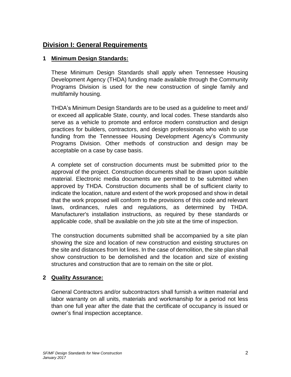# **Division I: General Requirements**

### **1 Minimum Design Standards:**

These Minimum Design Standards shall apply when Tennessee Housing Development Agency (THDA) funding made available through the Community Programs Division is used for the new construction of single family and multifamily housing.

THDA's Minimum Design Standards are to be used as a guideline to meet and/ or exceed all applicable State, county, and local codes. These standards also serve as a vehicle to promote and enforce modern construction and design practices for builders, contractors, and design professionals who wish to use funding from the Tennessee Housing Development Agency's Community Programs Division. Other methods of construction and design may be acceptable on a case by case basis.

A complete set of construction documents must be submitted prior to the approval of the project. Construction documents shall be drawn upon suitable material. Electronic media documents are permitted to be submitted when approved by THDA. Construction documents shall be of sufficient clarity to indicate the location, nature and extent of the work proposed and show in detail that the work proposed will conform to the provisions of this code and relevant laws, ordinances, rules and regulations, as determined by THDA. Manufacturer's installation instructions, as required by these standards or applicable code, shall be available on the job site at the time of inspection.

The construction documents submitted shall be accompanied by a site plan showing the size and location of new construction and existing structures on the site and distances from lot lines. In the case of demolition, the site plan shall show construction to be demolished and the location and size of existing structures and construction that are to remain on the site or plot.

### **2 Quality Assurance:**

General Contractors and/or subcontractors shall furnish a written material and labor warranty on all units, materials and workmanship for a period not less than one full year after the date that the certificate of occupancy is issued or owner's final inspection acceptance.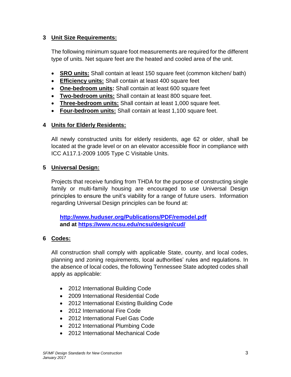### **3 Unit Size Requirements:**

The following minimum square foot measurements are required for the different type of units. Net square feet are the heated and cooled area of the unit.

- **SRO units:** Shall contain at least 150 square feet (common kitchen/ bath)
- **Efficiency units:** Shall contain at least 400 square feet
- **One-bedroom units:** Shall contain at least 600 square feet
- **Two-bedroom units:** Shall contain at least 800 square feet.
- **Three-bedroom units:** Shall contain at least 1,000 square feet.
- **Four-bedroom units:** Shall contain at least 1,100 square feet.

### **4 Units for Elderly Residents:**

All newly constructed units for elderly residents, age 62 or older, shall be located at the grade level or on an elevator accessible floor in compliance with ICC A117.1-2009 1005 Type C Visitable Units.

### **5 Universal Design:**

Projects that receive funding from THDA for the purpose of constructing single family or multi-family housing are encouraged to use Universal Design principles to ensure the unit's viability for a range of future users. Information regarding Universal Design principles can be found at:

**<http://www.huduser.org/Publications/PDF/remodel.pdf> and at<https://www.ncsu.edu/ncsu/design/cud/>**

### **6 Codes:**

All construction shall comply with applicable State, county, and local codes, planning and zoning requirements, local authorities' rules and regulations. In the absence of local codes, the following Tennessee State adopted codes shall apply as applicable:

- 2012 International Building Code
- 2009 International Residential Code
- 2012 International Existing Building Code
- 2012 International Fire Code
- 2012 International Fuel Gas Code
- 2012 International Plumbing Code
- 2012 International Mechanical Code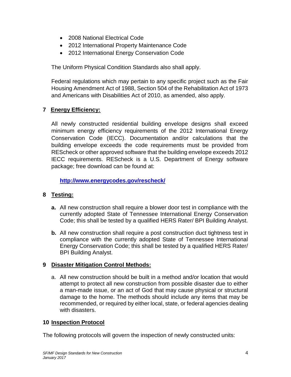- 2008 National Electrical Code
- 2012 International Property Maintenance Code
- 2012 International Energy Conservation Code

The Uniform Physical Condition Standards also shall apply.

Federal regulations which may pertain to any specific project such as the Fair Housing Amendment Act of 1988, Section 504 of the Rehabilitation Act of 1973 and Americans with Disabilities Act of 2010, as amended, also apply.

### **7 Energy Efficiency:**

All newly constructed residential building envelope designs shall exceed minimum energy efficiency requirements of the 2012 International Energy Conservation Code (IECC). Documentation and/or calculations that the building envelope exceeds the code requirements must be provided from REScheck or other approved software that the building envelope exceeds 2012 IECC requirements. REScheck is a U.S. Department of Energy software package; free download can be found at:

**<http://www.energycodes.gov/rescheck/>**

### **8 Testing:**

- **a.** All new construction shall require a blower door test in compliance with the currently adopted State of Tennessee International Energy Conservation Code; this shall be tested by a qualified HERS Rater/ BPI Building Analyst.
- **b.** All new construction shall require a post construction duct tightness test in compliance with the currently adopted State of Tennessee International Energy Conservation Code; this shall be tested by a qualified HERS Rater/ BPI Building Analyst.

### **9 Disaster Mitigation Control Methods:**

a. All new construction should be built in a method and/or location that would attempt to protect all new construction from possible disaster due to either a man-made issue, or an act of God that may cause physical or structural damage to the home. The methods should include any items that may be recommended, or required by either local, state, or federal agencies dealing with disasters.

#### **10 Inspection Protocol**

The following protocols will govern the inspection of newly constructed units: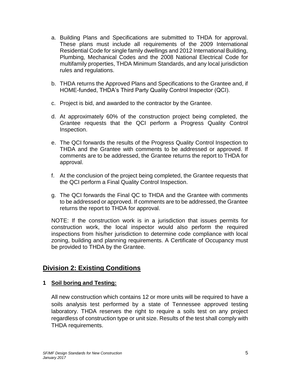- a. Building Plans and Specifications are submitted to THDA for approval. These plans must include all requirements of the 2009 International Residential Code for single family dwellings and 2012 International Building, Plumbing, Mechanical Codes and the 2008 National Electrical Code for multifamily properties, THDA Minimum Standards, and any local jurisdiction rules and regulations.
- b. THDA returns the Approved Plans and Specifications to the Grantee and, if HOME-funded, THDA's Third Party Quality Control Inspector (QCI).
- c. Project is bid, and awarded to the contractor by the Grantee.
- d. At approximately 60% of the construction project being completed, the Grantee requests that the QCI perform a Progress Quality Control Inspection.
- e. The QCI forwards the results of the Progress Quality Control Inspection to THDA and the Grantee with comments to be addressed or approved. If comments are to be addressed, the Grantee returns the report to THDA for approval.
- f. At the conclusion of the project being completed, the Grantee requests that the QCI perform a Final Quality Control Inspection.
- g. The QCI forwards the Final QC to THDA and the Grantee with comments to be addressed or approved. If comments are to be addressed, the Grantee returns the report to THDA for approval.

NOTE: If the construction work is in a jurisdiction that issues permits for construction work, the local inspector would also perform the required inspections from his/her jurisdiction to determine code compliance with local zoning, building and planning requirements. A Certificate of Occupancy must be provided to THDA by the Grantee.

# **Division 2: Existing Conditions**

### **1 Soil boring and Testing:**

All new construction which contains 12 or more units will be required to have a soils analysis test performed by a state of Tennessee approved testing laboratory. THDA reserves the right to require a soils test on any project regardless of construction type or unit size. Results of the test shall comply with THDA requirements.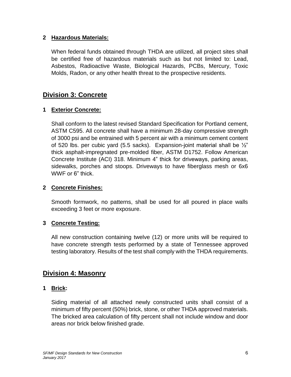### **2 Hazardous Materials:**

When federal funds obtained through THDA are utilized, all project sites shall be certified free of hazardous materials such as but not limited to: Lead, Asbestos, Radioactive Waste, Biological Hazards, PCBs, Mercury, Toxic Molds, Radon, or any other health threat to the prospective residents.

# **Division 3: Concrete**

### **1 Exterior Concrete:**

Shall conform to the latest revised Standard Specification for Portland cement, ASTM C595. All concrete shall have a minimum 28-day compressive strength of 3000 psi and be entrained with 5 percent air with a minimum cement content of 520 lbs. per cubic yard (5.5 sacks). Expansion-joint material shall be  $\frac{1}{2}$ " thick asphalt-impregnated pre-molded fiber, ASTM D1752. Follow American Concrete Institute (ACI) 318. Minimum 4" thick for driveways, parking areas, sidewalks, porches and stoops. Driveways to have fiberglass mesh or 6x6 WWF or 6" thick.

### **2 Concrete Finishes:**

Smooth formwork, no patterns, shall be used for all poured in place walls exceeding 3 feet or more exposure.

### **3 Concrete Testing:**

All new construction containing twelve (12) or more units will be required to have concrete strength tests performed by a state of Tennessee approved testing laboratory. Results of the test shall comply with the THDA requirements.

# **Division 4: Masonry**

### **1 Brick:**

Siding material of all attached newly constructed units shall consist of a minimum of fifty percent (50%) brick, stone, or other THDA approved materials. The bricked area calculation of fifty percent shall not include window and door areas nor brick below finished grade.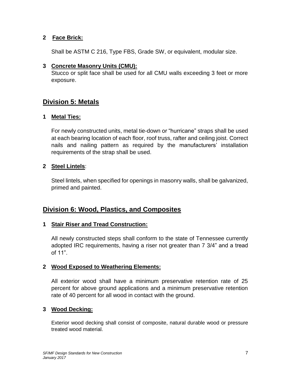### **2 Face Brick:**

Shall be ASTM C 216, Type FBS, Grade SW, or equivalent, modular size.

### **3 Concrete Masonry Units (CMU):**

Stucco or split face shall be used for all CMU walls exceeding 3 feet or more exposure.

# **Division 5: Metals**

### **1 Metal Ties:**

For newly constructed units, metal tie-down or "hurricane" straps shall be used at each bearing location of each floor, roof truss, rafter and ceiling joist. Correct nails and nailing pattern as required by the manufacturers' installation requirements of the strap shall be used.

### **2 Steel Lintels**:

Steel lintels, when specified for openings in masonry walls, shall be galvanized, primed and painted.

# **Division 6: Wood, Plastics, and Composites**

#### **1 Stair Riser and Tread Construction:**

All newly constructed steps shall conform to the state of Tennessee currently adopted IRC requirements, having a riser not greater than 7 3/4" and a tread of 11".

### **2 Wood Exposed to Weathering Elements:**

All exterior wood shall have a minimum preservative retention rate of 25 percent for above ground applications and a minimum preservative retention rate of 40 percent for all wood in contact with the ground.

### **3 Wood Decking:**

Exterior wood decking shall consist of composite, natural durable wood or pressure treated wood material.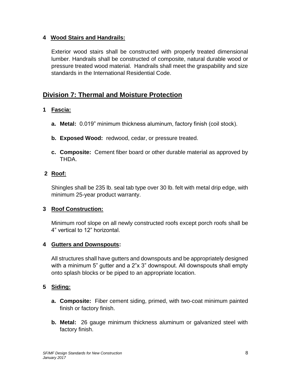### **4 Wood Stairs and Handrails:**

Exterior wood stairs shall be constructed with properly treated dimensional lumber. Handrails shall be constructed of composite, natural durable wood or pressure treated wood material. Handrails shall meet the graspability and size standards in the International Residential Code.

### **Division 7: Thermal and Moisture Protection**

### **1 Fascia:**

- **a. Metal:** 0.019" minimum thickness aluminum, factory finish (coil stock).
- **b. Exposed Wood:** redwood, cedar, or pressure treated.
- **c. Composite:** Cement fiber board or other durable material as approved by THDA.

### **2 Roof:**

Shingles shall be 235 lb. seal tab type over 30 lb. felt with metal drip edge, with minimum 25-year product warranty.

### **3 Roof Construction:**

Minimum roof slope on all newly constructed roofs except porch roofs shall be 4" vertical to 12" horizontal.

#### **4 Gutters and Downspouts:**

All structures shall have gutters and downspouts and be appropriately designed with a minimum 5" gutter and a 2"x 3" downspout. All downspouts shall empty onto splash blocks or be piped to an appropriate location.

### **5 Siding:**

- **a. Composite:** Fiber cement siding, primed, with two-coat minimum painted finish or factory finish.
- **b. Metal:** 26 gauge minimum thickness aluminum or galvanized steel with factory finish.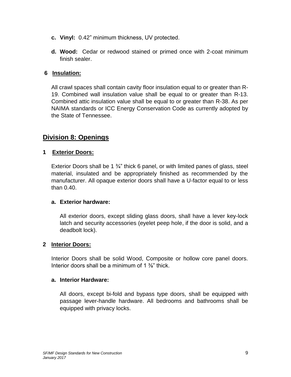- **c. Vinyl:** 0.42" minimum thickness, UV protected.
- **d. Wood:** Cedar or redwood stained or primed once with 2-coat minimum finish sealer.

### **6 Insulation:**

All crawl spaces shall contain cavity floor insulation equal to or greater than R-19. Combined wall insulation value shall be equal to or greater than R-13. Combined attic insulation value shall be equal to or greater than R-38. As per NAIMA standards or ICC Energy Conservation Code as currently adopted by the State of Tennessee.

### **Division 8: Openings**

### **1 Exterior Doors:**

Exterior Doors shall be 1  $\frac{3}{4}$ " thick 6 panel, or with limited panes of glass, steel material, insulated and be appropriately finished as recommended by the manufacturer. All opaque exterior doors shall have a U-factor equal to or less than 0.40.

#### **a. Exterior hardware:**

All exterior doors, except sliding glass doors, shall have a lever key-lock latch and security accessories (eyelet peep hole, if the door is solid, and a deadbolt lock).

#### **2 Interior Doors:**

Interior Doors shall be solid Wood, Composite or hollow core panel doors. Interior doors shall be a minimum of 1  $\frac{3}{8}$ " thick.

#### **a. Interior Hardware:**

All doors, except bi-fold and bypass type doors, shall be equipped with passage lever-handle hardware. All bedrooms and bathrooms shall be equipped with privacy locks.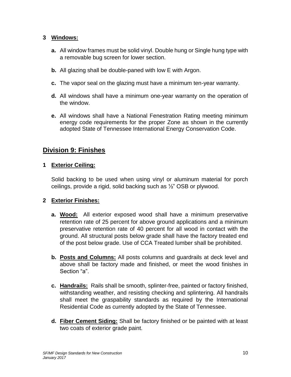### **3 Windows:**

- **a.** All window frames must be solid vinyl. Double hung or Single hung type with a removable bug screen for lower section.
- **b.** All glazing shall be double-paned with low E with Argon.
- **c.** The vapor seal on the glazing must have a minimum ten-year warranty.
- **d.** All windows shall have a minimum one-year warranty on the operation of the window.
- **e.** All windows shall have a National Fenestration Rating meeting minimum energy code requirements for the proper Zone as shown in the currently adopted State of Tennessee International Energy Conservation Code.

# **Division 9: Finishes**

### **1 Exterior Ceiling:**

Solid backing to be used when using vinyl or aluminum material for porch ceilings, provide a rigid, solid backing such as ½" OSB or plywood.

### **2 Exterior Finishes:**

- **a. Wood:** All exterior exposed wood shall have a minimum preservative retention rate of 25 percent for above ground applications and a minimum preservative retention rate of 40 percent for all wood in contact with the ground. All structural posts below grade shall have the factory treated end of the post below grade. Use of CCA Treated lumber shall be prohibited.
- **b. Posts and Columns:** All posts columns and guardrails at deck level and above shall be factory made and finished, or meet the wood finishes in Section "a".
- **c. Handrails:** Rails shall be smooth, splinter-free, painted or factory finished, withstanding weather, and resisting checking and splintering. All handrails shall meet the graspability standards as required by the International Residential Code as currently adopted by the State of Tennessee.
- **d. Fiber Cement Siding:** Shall be factory finished or be painted with at least two coats of exterior grade paint.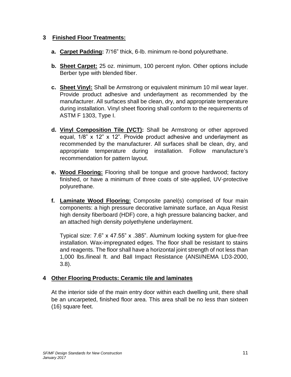### **3 Finished Floor Treatments:**

- **a. Carpet Padding:** 7/16" thick, 6-lb. minimum re-bond polyurethane.
- **b. Sheet Carpet:** 25 oz. minimum, 100 percent nylon. Other options include Berber type with blended fiber.
- **c. Sheet Vinyl:** Shall be Armstrong or equivalent minimum 10 mil wear layer. Provide product adhesive and underlayment as recommended by the manufacturer. All surfaces shall be clean, dry, and appropriate temperature during installation. Vinyl sheet flooring shall conform to the requirements of ASTM F 1303, Type I.
- **d. Vinyl Composition Tile (VCT):** Shall be Armstrong or other approved equal, 1/8" x 12" x 12". Provide product adhesive and underlayment as recommended by the manufacturer. All surfaces shall be clean, dry, and appropriate temperature during installation. Follow manufacture's recommendation for pattern layout.
- **e. Wood Flooring:** Flooring shall be tongue and groove hardwood; factory finished, or have a minimum of three coats of site-applied, UV-protective polyurethane.
- **f. Laminate Wood Flooring:** Composite panel(s) comprised of four main components: a high pressure decorative laminate surface, an Aqua Resist high density fiberboard (HDF) core, a high pressure balancing backer, and an attached high density polyethylene underlayment.

Typical size: 7.6" x 47.55" x .385". Aluminum locking system for glue-free installation. Wax-impregnated edges. The floor shall be resistant to stains and reagents. The floor shall have a horizontal joint strength of not less than 1,000 lbs./lineal ft. and Ball Impact Resistance (ANSI/NEMA LD3-2000, 3.8).

### **4 Other Flooring Products: Ceramic tile and laminates**

At the interior side of the main entry door within each dwelling unit, there shall be an uncarpeted, finished floor area. This area shall be no less than sixteen (16) square feet.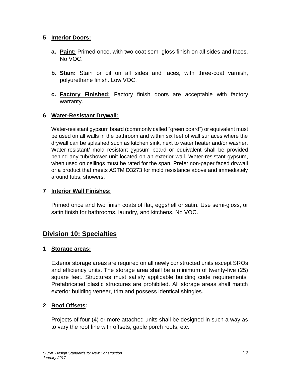### **5 Interior Doors:**

- **a. Paint:** Primed once, with two-coat semi-gloss finish on all sides and faces. No VOC.
- **b. Stain:** Stain or oil on all sides and faces, with three-coat varnish, polyurethane finish. Low VOC.
- **c. Factory Finished:** Factory finish doors are acceptable with factory warranty.

### **6 Water-Resistant Drywall:**

Water-resistant gypsum board (commonly called "green board") or equivalent must be used on all walls in the bathroom and within six feet of wall surfaces where the drywall can be splashed such as kitchen sink, next to water heater and/or washer. Water-resistant/ mold resistant gypsum board or equivalent shall be provided behind any tub/shower unit located on an exterior wall. Water-resistant gypsum, when used on ceilings must be rated for the span. Prefer non-paper faced drywall or a product that meets ASTM D3273 for mold resistance above and immediately around tubs, showers.

### **7 Interior Wall Finishes:**

Primed once and two finish coats of flat, eggshell or satin. Use semi-gloss, or satin finish for bathrooms, laundry, and kitchens. No VOC.

# **Division 10: Specialties**

#### **1 Storage areas:**

Exterior storage areas are required on all newly constructed units except SROs and efficiency units. The storage area shall be a minimum of twenty-five (25) square feet. Structures must satisfy applicable building code requirements. Prefabricated plastic structures are prohibited. All storage areas shall match exterior building veneer, trim and possess identical shingles.

#### **2 Roof Offsets:**

Projects of four (4) or more attached units shall be designed in such a way as to vary the roof line with offsets, gable porch roofs, etc.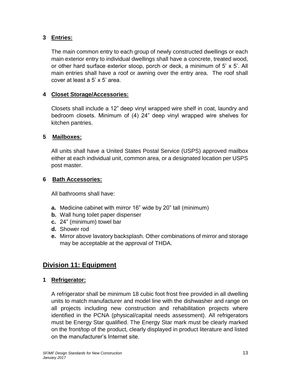### **3 Entries:**

The main common entry to each group of newly constructed dwellings or each main exterior entry to individual dwellings shall have a concrete, treated wood, or other hard surface exterior stoop, porch or deck, a minimum of 5' x 5'. All main entries shall have a roof or awning over the entry area. The roof shall cover at least a 5' x 5' area.

### **4 Closet Storage/Accessories:**

Closets shall include a 12" deep vinyl wrapped wire shelf in coat, laundry and bedroom closets. Minimum of (4) 24" deep vinyl wrapped wire shelves for kitchen pantries.

### **5 Mailboxes:**

All units shall have a United States Postal Service (USPS) approved mailbox either at each individual unit, common area, or a designated location per USPS post master.

### **6 Bath Accessories:**

All bathrooms shall have:

- **a.** Medicine cabinet with mirror 16" wide by 20" tall (minimum)
- **b.** Wall hung toilet paper dispenser
- **c.** 24" (minimum) towel bar
- **d.** Shower rod
- **e.** Mirror above lavatory backsplash. Other combinations of mirror and storage may be acceptable at the approval of THDA.

# **Division 11: Equipment**

### **1 Refrigerator:**

A refrigerator shall be minimum 18 cubic foot frost free provided in all dwelling units to match manufacturer and model line with the dishwasher and range on all projects including new construction and rehabilitation projects where identified in the PCNA (physical/capital needs assessment). All refrigerators must be Energy Star qualified. The Energy Star mark must be clearly marked on the front/top of the product, clearly displayed in product literature and listed on the manufacturer's Internet site.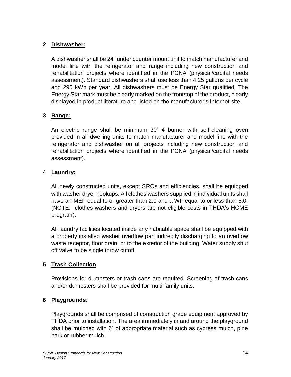### **2 Dishwasher:**

A dishwasher shall be 24" under counter mount unit to match manufacturer and model line with the refrigerator and range including new construction and rehabilitation projects where identified in the PCNA (physical/capital needs assessment). Standard dishwashers shall use less than 4.25 gallons per cycle and 295 kWh per year. All dishwashers must be Energy Star qualified. The Energy Star mark must be clearly marked on the front/top of the product, clearly displayed in product literature and listed on the manufacturer's Internet site.

### **3 Range:**

An electric range shall be minimum 30" 4 burner with self-cleaning oven provided in all dwelling units to match manufacturer and model line with the refrigerator and dishwasher on all projects including new construction and rehabilitation projects where identified in the PCNA (physical/capital needs assessment).

### **4 Laundry:**

All newly constructed units, except SROs and efficiencies, shall be equipped with washer dryer hookups. All clothes washers supplied in individual units shall have an MEF equal to or greater than 2.0 and a WF equal to or less than 6.0. (NOTE: clothes washers and dryers are not eligible costs in THDA's HOME program).

All laundry facilities located inside any habitable space shall be equipped with a properly installed washer overflow pan indirectly discharging to an overflow waste receptor, floor drain, or to the exterior of the building. Water supply shut off valve to be single throw cutoff.

### **5 Trash Collection:**

Provisions for dumpsters or trash cans are required. Screening of trash cans and/or dumpsters shall be provided for multi-family units.

### **6 Playgrounds**:

Playgrounds shall be comprised of construction grade equipment approved by THDA prior to installation. The area immediately in and around the playground shall be mulched with 6" of appropriate material such as cypress mulch, pine bark or rubber mulch.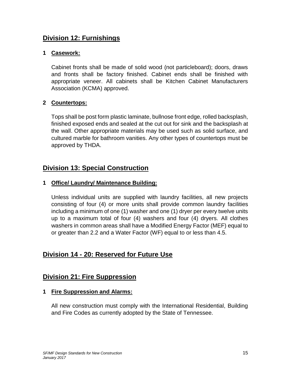# **Division 12: Furnishings**

### **1 Casework:**

Cabinet fronts shall be made of solid wood (not particleboard); doors, draws and fronts shall be factory finished. Cabinet ends shall be finished with appropriate veneer. All cabinets shall be Kitchen Cabinet Manufacturers Association (KCMA) approved.

### **2 Countertops:**

Tops shall be post form plastic laminate, bullnose front edge, rolled backsplash, finished exposed ends and sealed at the cut out for sink and the backsplash at the wall. Other appropriate materials may be used such as solid surface, and cultured marble for bathroom vanities. Any other types of countertops must be approved by THDA.

### **Division 13: Special Construction**

### **1 Office/ Laundry/ Maintenance Building:**

Unless individual units are supplied with laundry facilities, all new projects consisting of four (4) or more units shall provide common laundry facilities including a minimum of one (1) washer and one (1) dryer per every twelve units up to a maximum total of four (4) washers and four (4) dryers. All clothes washers in common areas shall have a Modified Energy Factor (MEF) equal to or greater than 2.2 and a Water Factor (WF) equal to or less than 4.5.

# **Division 14 - 20: Reserved for Future Use**

# **Division 21: Fire Suppression**

#### **1 Fire Suppression and Alarms:**

All new construction must comply with the International Residential, Building and Fire Codes as currently adopted by the State of Tennessee.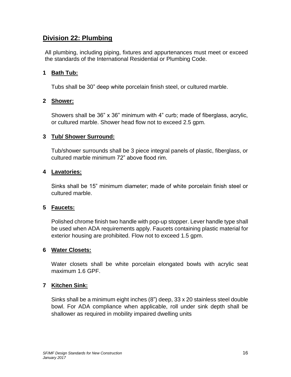### **Division 22: Plumbing**

All plumbing, including piping, fixtures and appurtenances must meet or exceed the standards of the International Residential or Plumbing Code.

### **1 Bath Tub:**

Tubs shall be 30" deep white porcelain finish steel, or cultured marble.

### **2 Shower:**

Showers shall be 36" x 36" minimum with 4" curb; made of fiberglass, acrylic, or cultured marble. Shower head flow not to exceed 2.5 gpm.

### **3 Tub/ Shower Surround:**

Tub/shower surrounds shall be 3 piece integral panels of plastic, fiberglass, or cultured marble minimum 72" above flood rim.

### **4 Lavatories:**

Sinks shall be 15" minimum diameter; made of white porcelain finish steel or cultured marble.

### **5 Faucets:**

Polished chrome finish two handle with pop-up stopper. Lever handle type shall be used when ADA requirements apply. Faucets containing plastic material for exterior housing are prohibited. Flow not to exceed 1.5 gpm.

### **6 Water Closets:**

Water closets shall be white porcelain elongated bowls with acrylic seat maximum 1.6 GPF.

### **7 Kitchen Sink:**

Sinks shall be a minimum eight inches (8") deep, 33 x 20 stainless steel double bowl. For ADA compliance when applicable, roll under sink depth shall be shallower as required in mobility impaired dwelling units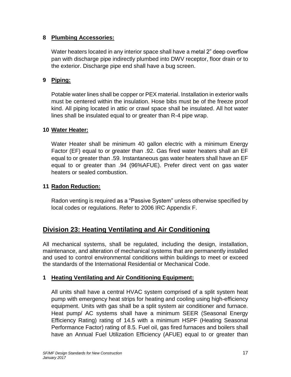### **8 Plumbing Accessories:**

Water heaters located in any interior space shall have a metal 2" deep overflow pan with discharge pipe indirectly plumbed into DWV receptor, floor drain or to the exterior. Discharge pipe end shall have a bug screen.

### **9 Piping:**

Potable water lines shall be copper or PEX material. Installation in exterior walls must be centered within the insulation. Hose bibs must be of the freeze proof kind. All piping located in attic or crawl space shall be insulated. All hot water lines shall be insulated equal to or greater than R-4 pipe wrap.

#### **10 Water Heater:**

Water Heater shall be minimum 40 gallon electric with a minimum Energy Factor (EF) equal to or greater than .92. Gas fired water heaters shall an EF equal to or greater than .59. Instantaneous gas water heaters shall have an EF equal to or greater than .94 (96%AFUE). Prefer direct vent on gas water heaters or sealed combustion.

### **11 Radon Reduction:**

Radon venting is required as a "Passive System" unless otherwise specified by local codes or regulations. Refer to 2006 IRC Appendix F.

# **Division 23: Heating Ventilating and Air Conditioning**

All mechanical systems, shall be regulated, including the design, installation, maintenance, and alteration of mechanical systems that are permanently installed and used to control environmental conditions within buildings to meet or exceed the standards of the International Residential or Mechanical Code.

### **1 Heating Ventilating and Air Conditioning Equipment:**

All units shall have a central HVAC system comprised of a split system heat pump with emergency heat strips for heating and cooling using high-efficiency equipment. Units with gas shall be a split system air conditioner and furnace. Heat pump/ AC systems shall have a minimum SEER (Seasonal Energy Efficiency Rating) rating of 14.5 with a minimum HSPF (Heating Seasonal Performance Factor) rating of 8.5. Fuel oil, gas fired furnaces and boilers shall have an Annual Fuel Utilization Efficiency (AFUE) equal to or greater than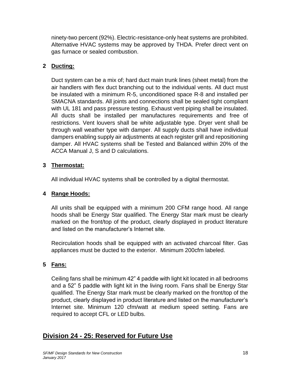ninety-two percent (92%). Electric-resistance-only heat systems are prohibited. Alternative HVAC systems may be approved by THDA. Prefer direct vent on gas furnace or sealed combustion.

### **2 Ducting:**

Duct system can be a mix of; hard duct main trunk lines (sheet metal) from the air handlers with flex duct branching out to the individual vents. All duct must be insulated with a minimum R-5, unconditioned space R-8 and installed per SMACNA standards. All joints and connections shall be sealed tight compliant with UL 181 and pass pressure testing. Exhaust vent piping shall be insulated. All ducts shall be installed per manufactures requirements and free of restrictions. Vent louvers shall be white adjustable type. Dryer vent shall be through wall weather type with damper. All supply ducts shall have individual dampers enabling supply air adjustments at each register grill and repositioning damper. All HVAC systems shall be Tested and Balanced within 20% of the ACCA Manual J, S and D calculations.

### **3 Thermostat:**

All individual HVAC systems shall be controlled by a digital thermostat.

### **4 Range Hoods:**

All units shall be equipped with a minimum 200 CFM range hood. All range hoods shall be Energy Star qualified. The Energy Star mark must be clearly marked on the front/top of the product, clearly displayed in product literature and listed on the manufacturer's Internet site.

Recirculation hoods shall be equipped with an activated charcoal filter. Gas appliances must be ducted to the exterior. Minimum 200cfm labeled.

### **5 Fans:**

Ceiling fans shall be minimum 42" 4 paddle with light kit located in all bedrooms and a 52" 5 paddle with light kit in the living room. Fans shall be Energy Star qualified. The Energy Star mark must be clearly marked on the front/top of the product, clearly displayed in product literature and listed on the manufacturer's Internet site. Minimum 120 cfm/watt at medium speed setting. Fans are required to accept CFL or LED bulbs.

# **Division 24 - 25: Reserved for Future Use**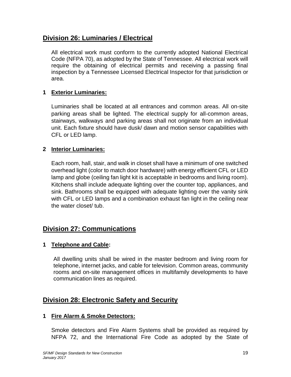### **Division 26: Luminaries / Electrical**

All electrical work must conform to the currently adopted National Electrical Code (NFPA 70), as adopted by the State of Tennessee. All electrical work will require the obtaining of electrical permits and receiving a passing final inspection by a Tennessee Licensed Electrical Inspector for that jurisdiction or area.

### **1 Exterior Luminaries:**

Luminaries shall be located at all entrances and common areas. All on-site parking areas shall be lighted. The electrical supply for all-common areas, stairways, walkways and parking areas shall not originate from an individual unit. Each fixture should have dusk/ dawn and motion sensor capabilities with CFL or LED lamp.

### **2 Interior Luminaries:**

Each room, hall, stair, and walk in closet shall have a minimum of one switched overhead light (color to match door hardware) with energy efficient CFL or LED lamp and globe (ceiling fan light kit is acceptable in bedrooms and living room). Kitchens shall include adequate lighting over the counter top, appliances, and sink. Bathrooms shall be equipped with adequate lighting over the vanity sink with CFL or LED lamps and a combination exhaust fan light in the ceiling near the water closet/ tub.

# **Division 27: Communications**

### **1 Telephone and Cable:**

All dwelling units shall be wired in the master bedroom and living room for telephone, internet jacks, and cable for television. Common areas, community rooms and on-site management offices in multifamily developments to have communication lines as required.

# **Division 28: Electronic Safety and Security**

### **1 Fire Alarm & Smoke Detectors:**

Smoke detectors and Fire Alarm Systems shall be provided as required by NFPA 72, and the International Fire Code as adopted by the State of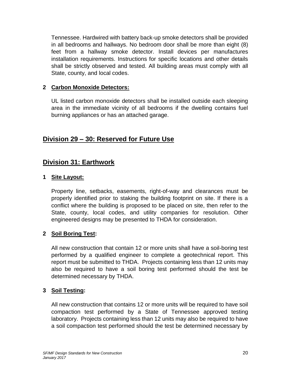Tennessee. Hardwired with battery back-up smoke detectors shall be provided in all bedrooms and hallways. No bedroom door shall be more than eight (8) feet from a hallway smoke detector. Install devices per manufactures installation requirements. Instructions for specific locations and other details shall be strictly observed and tested. All building areas must comply with all State, county, and local codes.

### **2 Carbon Monoxide Detectors:**

UL listed carbon monoxide detectors shall be installed outside each sleeping area in the immediate vicinity of all bedrooms if the dwelling contains fuel burning appliances or has an attached garage.

# **Division 29 – 30: Reserved for Future Use**

# **Division 31: Earthwork**

### **1 Site Layout:**

Property line, setbacks, easements, right-of-way and clearances must be properly identified prior to staking the building footprint on site. If there is a conflict where the building is proposed to be placed on site, then refer to the State, county, local codes, and utility companies for resolution. Other engineered designs may be presented to THDA for consideration.

### **2 Soil Boring Test:**

All new construction that contain 12 or more units shall have a soil-boring test performed by a qualified engineer to complete a geotechnical report. This report must be submitted to THDA. Projects containing less than 12 units may also be required to have a soil boring test performed should the test be determined necessary by THDA.

### **3 Soil Testing:**

All new construction that contains 12 or more units will be required to have soil compaction test performed by a State of Tennessee approved testing laboratory. Projects containing less than 12 units may also be required to have a soil compaction test performed should the test be determined necessary by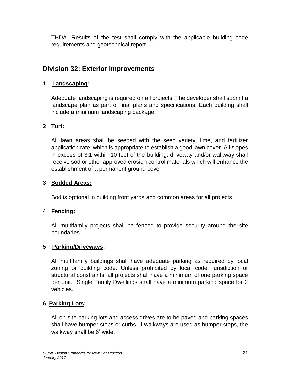THDA. Results of the test shall comply with the applicable building code requirements and geotechnical report.

# **Division 32: Exterior Improvements**

### **1 Landscaping:**

Adequate landscaping is required on all projects. The developer shall submit a landscape plan as part of final plans and specifications. Each building shall include a minimum landscaping package.

### **2 Turf:**

All lawn areas shall be seeded with the seed variety, lime, and fertilizer application rate, which is appropriate to establish a good lawn cover. All slopes in excess of 3:1 within 10 feet of the building, driveway and/or walkway shall receive sod or other approved erosion control materials which will enhance the establishment of a permanent ground cover.

### **3 Sodded Areas:**

Sod is optional in building front yards and common areas for all projects.

### **4 Fencing:**

All multifamily projects shall be fenced to provide security around the site boundaries.

### **5 Parking/Driveways:**

All multifamily buildings shall have adequate parking as required by local zoning or building code. Unless prohibited by local code, jurisdiction or structural constraints, all projects shall have a minimum of one parking space per unit. Single Family Dwellings shall have a minimum parking space for 2 vehicles.

### **6 Parking Lots:**

All on-site parking lots and access drives are to be paved and parking spaces shall have bumper stops or curbs. If walkways are used as bumper stops, the walkway shall be 6' wide.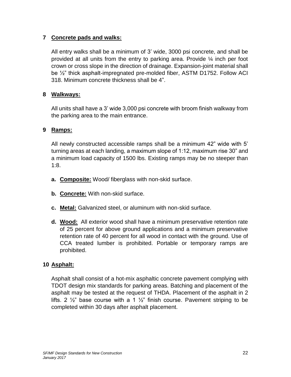### **7 Concrete pads and walks:**

All entry walks shall be a minimum of 3' wide, 3000 psi concrete, and shall be provided at all units from the entry to parking area. Provide ¼ inch per foot crown or cross slope in the direction of drainage. Expansion-joint material shall be ½" thick asphalt-impregnated pre-molded fiber, ASTM D1752. Follow ACI 318. Minimum concrete thickness shall be 4".

### **8 Walkways:**

All units shall have a 3' wide 3,000 psi concrete with broom finish walkway from the parking area to the main entrance.

### **9 Ramps:**

All newly constructed accessible ramps shall be a minimum 42" wide with 5' turning areas at each landing, a maximum slope of 1:12, maximum rise 30" and a minimum load capacity of 1500 lbs. Existing ramps may be no steeper than 1:8.

- **a. Composite:** Wood/ fiberglass with non-skid surface.
- **b. Concrete:** With non-skid surface.
- **c. Metal:** Galvanized steel, or aluminum with non-skid surface.
- **d. Wood:** All exterior wood shall have a minimum preservative retention rate of 25 percent for above ground applications and a minimum preservative retention rate of 40 percent for all wood in contact with the ground. Use of CCA treated lumber is prohibited. Portable or temporary ramps are prohibited.

#### **10 Asphalt:**

Asphalt shall consist of a hot-mix asphaltic concrete pavement complying with TDOT design mix standards for parking areas. Batching and placement of the asphalt may be tested at the request of THDA. Placement of the asphalt in 2 lifts. 2  $\frac{1}{2}$  base course with a 1  $\frac{1}{2}$  finish course. Pavement striping to be completed within 30 days after asphalt placement.